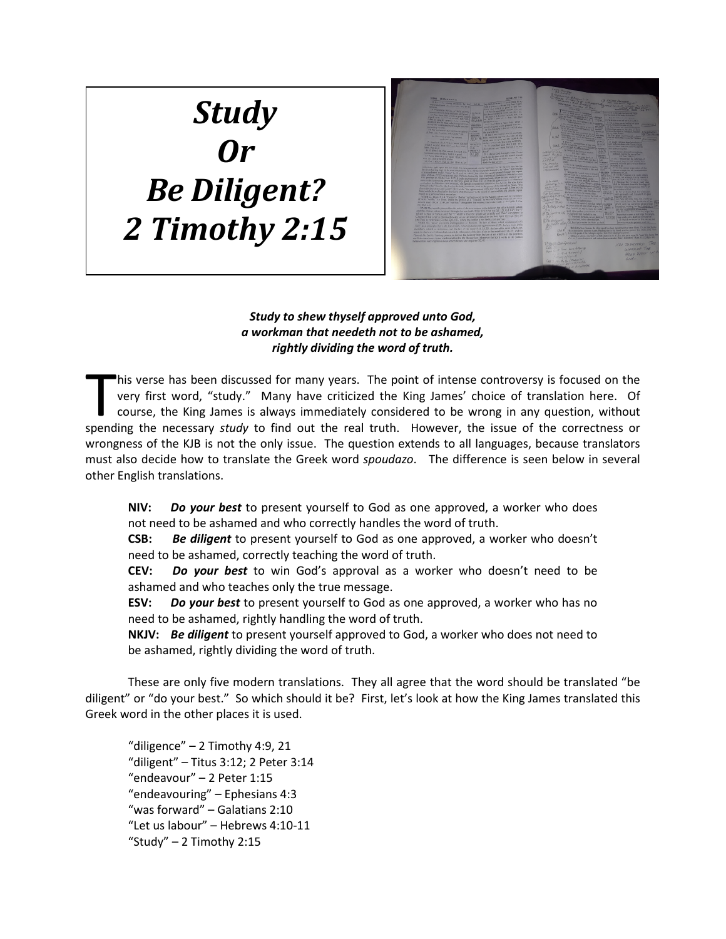## *Study Or Be Diligent? 2 Timothy 2:15*



*Study to shew thyself approved unto God, a workman that needeth not to be ashamed, rightly dividing the word of truth.*

his verse has been discussed for many years. The point of intense controversy is focused on the very first word, "study." Many have criticized the King James' choice of translation here. Of course, the King James is always immediately considered to be wrong in any question, without his verse has been discussed for many years. The point of intense controversy is focused on the very first word, "study." Many have criticized the King James' choice of translation here. Of course, the King James is always wrongness of the KJB is not the only issue. The question extends to all languages, because translators must also decide how to translate the Greek word *spoudazo*. The difference is seen below in several other English translations.

**NIV:** *Do your best* to present yourself to God as one approved, a worker who does not need to be ashamed and who correctly handles the word of truth.

**CSB:** *Be diligent* to present yourself to God as one approved, a worker who doesn't need to be ashamed, correctly teaching the word of truth.

**CEV:** *Do your best* to win God's approval as a worker who doesn't need to be ashamed and who teaches only the true message.

**ESV:** *Do your best* to present yourself to God as one approved, a worker who has no need to be ashamed, rightly handling the word of truth.

**NKJV:** *Be diligent* to present yourself approved to God, a worker who does not need to be ashamed, rightly dividing the word of truth.

These are only five modern translations. They all agree that the word should be translated "be diligent" or "do your best." So which should it be? First, let's look at how the King James translated this Greek word in the other places it is used.

"diligence" – 2 Timothy 4:9, 21 "diligent" – Titus 3:12; 2 Peter 3:14 "endeavour" – 2 Peter 1:15 "endeavouring" – Ephesians 4:3 "was forward" – Galatians 2:10 "Let us labour" – Hebrews 4:10-11 "Study"  $-2$  Timothy 2:15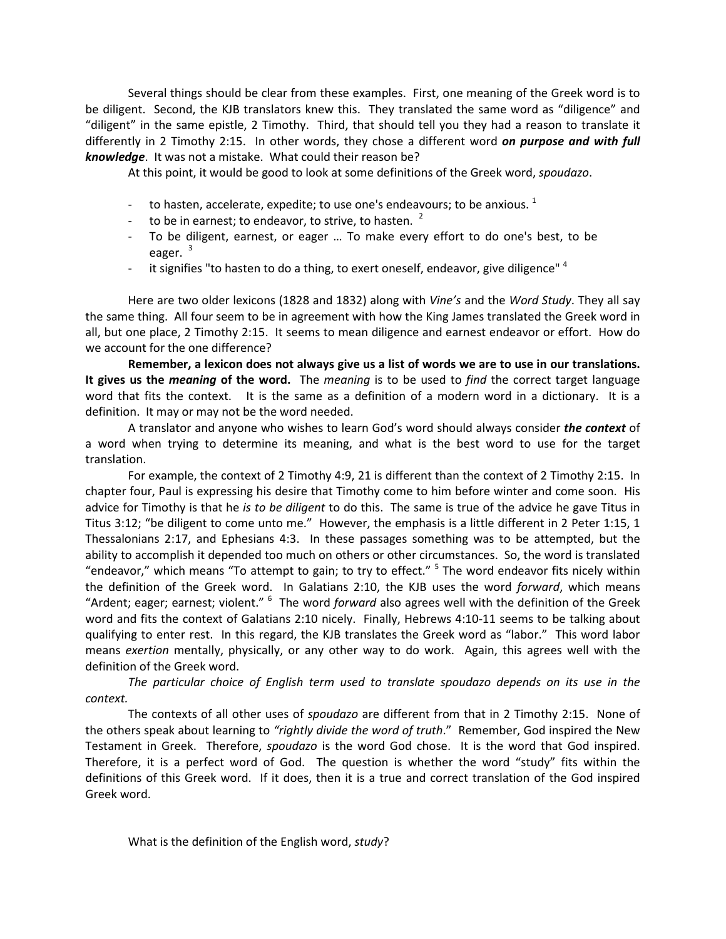Several things should be clear from these examples. First, one meaning of the Greek word is to be diligent. Second, the KJB translators knew this. They translated the same word as "diligence" and "diligent" in the same epistle, 2 Timothy. Third, that should tell you they had a reason to translate it differently in 2 Timothy 2:15. In other words, they chose a different word *on purpose and with full knowledge*. It was not a mistake. What could their reason be?

At this point, it would be good to look at some definitions of the Greek word, *spoudazo*.

- to hasten, accelerate, expedite; to use one's endeavours; to be anxious.  $1$
- to be in earnest; to endeavor, to strive, to hasten.  $2^2$
- To be diligent, earnest, or eager … To make every effort to do one's best, to be eager.<sup>[3](#page-2-0)</sup>
- it signifies "to hasten to do a thing, to exert oneself, endeavor, give diligence"  $4$

Here are two older lexicons (1828 and 1832) along with *Vine's* and the *Word Study*. They all say the same thing. All four seem to be in agreement with how the King James translated the Greek word in all, but one place, 2 Timothy 2:15. It seems to mean diligence and earnest endeavor or effort. How do we account for the one difference?

**Remember, a lexicon does not always give us a list of words we are to use in our translations. It gives us the** *meaning* **of the word.** The *meaning* is to be used to *find* the correct target language word that fits the context. It is the same as a definition of a modern word in a dictionary. It is a definition. It may or may not be the word needed.

A translator and anyone who wishes to learn God's word should always consider *the context* of a word when trying to determine its meaning, and what is the best word to use for the target translation.

For example, the context of 2 Timothy 4:9, 21 is different than the context of 2 Timothy 2:15. In chapter four, Paul is expressing his desire that Timothy come to him before winter and come soon. His advice for Timothy is that he *is to be diligent* to do this. The same is true of the advice he gave Titus in Titus 3:12; "be diligent to come unto me." However, the emphasis is a little different in 2 Peter 1:15, 1 Thessalonians 2:17, and Ephesians 4:3. In these passages something was to be attempted, but the ability to accomplish it depended too much on others or other circumstances. So, the word is translated "endeavor," which means "To attempt to gain; to try to effect." <sup>[5](#page-2-1)</sup> The word endeavor fits nicely within the definition of the Greek word. In Galatians 2:10, the KJB uses the word *forward*, which means "Ardent; eager; earnest; violent." <sup>[6](#page-2-2)</sup> The word *forward* also agrees well with the definition of the Greek word and fits the context of Galatians 2:10 nicely. Finally, Hebrews 4:10-11 seems to be talking about qualifying to enter rest. In this regard, the KJB translates the Greek word as "labor." This word labor means *exertion* mentally, physically, or any other way to do work. Again, this agrees well with the definition of the Greek word.

*The particular choice of English term used to translate spoudazo depends on its use in the context.*

The contexts of all other uses of *spoudazo* are different from that in 2 Timothy 2:15. None of the others speak about learning to *"rightly divide the word of truth*." Remember, God inspired the New Testament in Greek. Therefore, *spoudazo* is the word God chose. It is the word that God inspired. Therefore, it is a perfect word of God. The question is whether the word "study" fits within the definitions of this Greek word. If it does, then it is a true and correct translation of the God inspired Greek word.

What is the definition of the English word, *study*?